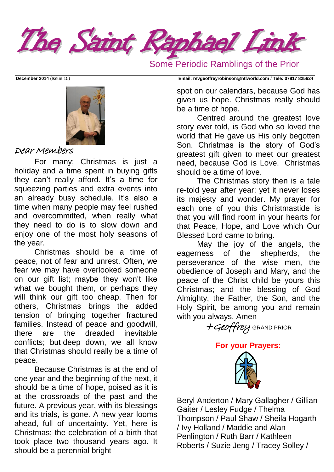

Some Periodic Ramblings of the Prior



#### Dear Members

For many; Christmas is just a holiday and a time spent in buying gifts they can't really afford. It's a time for squeezing parties and extra events into an already busy schedule. It's also a time when many people may feel rushed and overcommitted, when really what they need to do is to slow down and enjoy one of the most holy seasons of the year.

Christmas should be a time of peace, not of fear and unrest. Often, we fear we may have overlooked someone on our gift list; maybe they won't like what we bought them, or perhaps they will think our gift too cheap. Then for others, Christmas brings the added tension of bringing together fractured families. Instead of peace and goodwill, there are the dreaded inevitable conflicts; but deep down, we all know that Christmas should really be a time of peace.

Because Christmas is at the end of one year and the beginning of the next, it should be a time of hope, poised as it is at the crossroads of the past and the future. A previous year, with its blessings and its trials, is gone. A new year looms ahead, full of uncertainty. Yet, here is Christmas; the celebration of a birth that took place two thousand years ago. It should be a perennial bright

**December 2014** (Issue 15) **Email: [revgeoffreyrobinson@ntlworld.com](mailto:revgeoffreyrobinson@ntlworld.com) / Tele: 07817 825624**

spot on our calendars, because God has given us hope. Christmas really should be a time of hope.

Centred around the greatest love story ever told, is God who so loved the world that He gave us His only begotten Son. Christmas is the story of God's greatest gift given to meet our greatest need, because God is Love. Christmas should be a time of love.

The Christmas story then is a tale re-told year after year; yet it never loses its majesty and wonder. My prayer for each one of you this Christmastide is that you will find room in your hearts for that Peace, Hope, and Love which Our Blessed Lord came to bring.

May the joy of the angels, the eagerness of the shepherds, the perseverance of the wise men, the obedience of Joseph and Mary, and the peace of the Christ child be yours this Christmas; and the blessing of God Almighty, the Father, the Son, and the Holy Spirit, be among you and remain with you always. Amen

+Geoffrey GRAND PRIOR



Beryl Anderton / Mary Gallagher / Gillian Gaiter / Lesley Fudge / Thelma Thompson / Paul Shaw / Sheila Hogarth / Ivy Holland / Maddie and Alan Penlington / Ruth Barr / Kathleen Roberts / Suzie Jeng / Tracey Solley /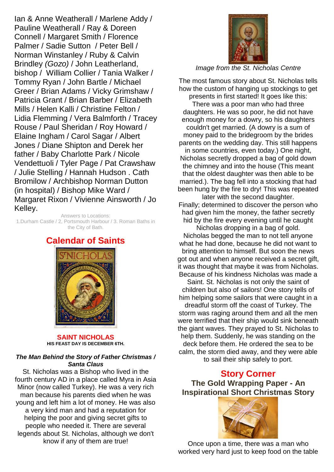Ian & Anne Weatherall / Marlene Addy / Pauline Weatherall / Ray & Doreen Connell / Margaret Smith / Florence Palmer / Sadie Sutton / Peter Bell / Norman Winstanley / Ruby & Calvin Brindley *(Gozo)* / John Leatherland, bishop / William Collier / Tania Walker / Tommy Ryan / John Bartle / Michael Greer / Brian Adams / Vicky Grimshaw / Patricia Grant / Brian Barber / Elizabeth Mills / Helen Kalli / Christine Felton / Lidia Flemming / Vera Balmforth / Tracey Rouse / Paul Sheridan / Roy Howard / Elaine Ingham / Carol Sagar / Albert Jones / Diane Shipton and Derek her father / Baby Charlotte Park / Nicole Vendettuoli / Tyler Page / Pat Crawshaw / Julie Stelling / Hannah Hudson . Cath Bromilow / Archbishop Norman Dutton (in hospital) / Bishop Mike Ward / Margaret Rixon / Vivienne Ainsworth / Jo Kelley.

Answers to Locations: 1.Durham Castle / 2, Portsmouth Harbour / 3. Roman Baths in the City of Bath.

### **Calendar of Saints**



**SAINT NICHOLAS HIS [FEAST DAY](http://www.catholic.org/saints/f_day/) IS DECEMBER 6TH.**

#### *The Man Behind the Story of Father Christmas / Santa Claus*

St. Nicholas was a Bishop who lived in the fourth century AD in a place called Myra in Asia Minor (now called Turkey). He was a very rich man because his parents died when he was young and left him a lot of money. He was also a very kind man and had a reputation for helping the poor and giving secret gifts to people who needed it. There are several legends about St. Nicholas, although we don't know if any of them are true!



*Image from the St. Nicholas Centre*

The most famous story about St. Nicholas tells how the custom of hanging up stockings to get

presents in first started! It goes like this: There was a poor man who had three daughters. He was so poor, he did not have enough money for a dowry, so his daughters couldn't get married. (A dowry is a sum of money paid to the bridegroom by the brides parents on the wedding day. This still happens in some countries, even today.) One night, Nicholas secretly dropped a bag of gold down the chimney and into the house (This meant that the oldest daughter was then able to be married.). The bag fell into a stocking that had been hung by the fire to dry! This was repeated later with the second daughter.

Finally; determined to discover the person who had given him the money, the father secretly hid by the fire every evening until he caught

Nicholas dropping in a bag of gold. Nicholas begged the man to not tell anyone what he had done, because he did not want to bring attention to himself. But soon the news got out and when anyone received a secret gift, it was thought that maybe it was from Nicholas. Because of his kindness Nicholas was made a

Saint. St. Nicholas is not only the saint of children but also of sailors! One story tells of him helping some sailors that were caught in a dreadful storm off the coast of Turkey. The storm was raging around them and all the men were terrified that their ship would sink beneath the giant waves. They prayed to St. Nicholas to help them. Suddenly, he was standing on the deck before them. He ordered the sea to be calm, the storm died away, and they were able to sail their ship safely to port.

## **Story Corner**

**The Gold Wrapping Paper - An Inspirational Short Christmas Story**



Once upon a time, there was a man who worked very hard just to keep food on the table